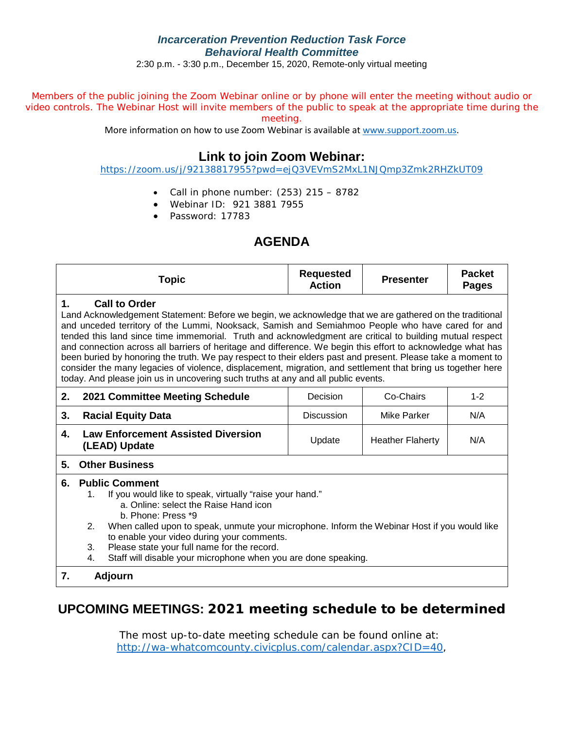#### *Incarceration Prevention Reduction Task Force Behavioral Health Committee*

2:30 p.m. - 3:30 p.m., December 15, 2020, Remote-only virtual meeting

Members of the public joining the Zoom Webinar online or by phone will enter the meeting without audio or video controls. The Webinar Host will invite members of the public to speak at the appropriate time during the meeting.

More information on how to use Zoom Webinar is available at [www.support.zoom.us.](https://nam03.safelinks.protection.outlook.com/?url=http%3A%2F%2Fwww.support.zoom.us%2F&data=02%7C01%7CJNixon%40co.whatcom.wa.us%7C6c9a211e0e6a4d542f3208d81d513a80%7C2122bbce9a1d4565931b0c534ef12e43%7C0%7C0%7C637291581999823694&sdata=y40RY9OomuDUwUxGs%2BY5uBqQhSr%2BDDg92g%2BD1NYWfHQ%3D&reserved=0)

## **Link to join Zoom Webinar:**

<https://zoom.us/j/92138817955?pwd=ejQ3VEVmS2MxL1NJQmp3Zmk2RHZkUT09>

- Call in phone number:  $(253)$  215 8782
- Webinar ID: 921 3881 7955
- Password: 17783

## **AGENDA**

|    | <b>Topic</b>                                                                                                                                                                                                                                                                                                                                                                                                                                                                                                                                                                                                                                                                                                                                                                      | <b>Requested</b><br><b>Action</b> | <b>Presenter</b> | <b>Packet</b><br><b>Pages</b> |  |  |  |  |  |  |  |
|----|-----------------------------------------------------------------------------------------------------------------------------------------------------------------------------------------------------------------------------------------------------------------------------------------------------------------------------------------------------------------------------------------------------------------------------------------------------------------------------------------------------------------------------------------------------------------------------------------------------------------------------------------------------------------------------------------------------------------------------------------------------------------------------------|-----------------------------------|------------------|-------------------------------|--|--|--|--|--|--|--|
| 1. | <b>Call to Order</b><br>Land Acknowledgement Statement: Before we begin, we acknowledge that we are gathered on the traditional<br>and unceded territory of the Lummi, Nooksack, Samish and Semiahmoo People who have cared for and<br>tended this land since time immemorial. Truth and acknowledgment are critical to building mutual respect<br>and connection across all barriers of heritage and difference. We begin this effort to acknowledge what has<br>been buried by honoring the truth. We pay respect to their elders past and present. Please take a moment to<br>consider the many legacies of violence, displacement, migration, and settlement that bring us together here<br>today. And please join us in uncovering such truths at any and all public events. |                                   |                  |                               |  |  |  |  |  |  |  |
| 2. | 2021 Committee Meeting Schedule                                                                                                                                                                                                                                                                                                                                                                                                                                                                                                                                                                                                                                                                                                                                                   | Decision                          | Co-Chairs        | $1 - 2$                       |  |  |  |  |  |  |  |
| 3. | <b>Racial Equity Data</b>                                                                                                                                                                                                                                                                                                                                                                                                                                                                                                                                                                                                                                                                                                                                                         | <b>Discussion</b>                 | Mike Parker      | N/A                           |  |  |  |  |  |  |  |
| 4. | <b>Law Enforcement Assisted Diversion</b><br><b>Heather Flaherty</b><br>N/A<br>Update<br>(LEAD) Update                                                                                                                                                                                                                                                                                                                                                                                                                                                                                                                                                                                                                                                                            |                                   |                  |                               |  |  |  |  |  |  |  |
| 5. | <b>Other Business</b>                                                                                                                                                                                                                                                                                                                                                                                                                                                                                                                                                                                                                                                                                                                                                             |                                   |                  |                               |  |  |  |  |  |  |  |
| 6. | <b>Public Comment</b><br>If you would like to speak, virtually "raise your hand."<br>1.<br>a. Online: select the Raise Hand icon<br>b. Phone: Press *9<br>When called upon to speak, unmute your microphone. Inform the Webinar Host if you would like<br>2.<br>to enable your video during your comments.<br>Please state your full name for the record.<br>3.<br>Staff will disable your microphone when you are done speaking.<br>4.                                                                                                                                                                                                                                                                                                                                           |                                   |                  |                               |  |  |  |  |  |  |  |
| 7. | <b>Adjourn</b>                                                                                                                                                                                                                                                                                                                                                                                                                                                                                                                                                                                                                                                                                                                                                                    |                                   |                  |                               |  |  |  |  |  |  |  |

### **UPCOMING MEETINGS: 2021 meeting schedule to be determined**

The most up-to-date meeting schedule can be found online at: [http://wa-whatcomcounty.civicplus.com/calendar.aspx?CID=40,](http://wa-whatcomcounty.civicplus.com/calendar.aspx?CID=40)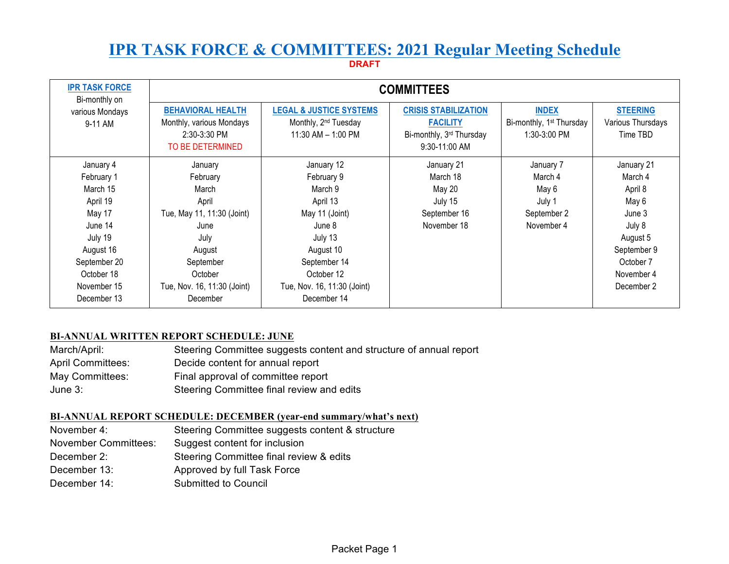# **IPR TASK FORCE & COMMITTEES: 2021 Regular Meeting Schedule**

**DRAFT**

| <b>IPR TASK FORCE</b><br>Bi-monthly on                                                                                                                   | <b>COMMITTEES</b>                                                                                                                                                |                                                                                                                                                                                 |                                                                                               |                                                                      |                                                                                                                                   |  |  |  |
|----------------------------------------------------------------------------------------------------------------------------------------------------------|------------------------------------------------------------------------------------------------------------------------------------------------------------------|---------------------------------------------------------------------------------------------------------------------------------------------------------------------------------|-----------------------------------------------------------------------------------------------|----------------------------------------------------------------------|-----------------------------------------------------------------------------------------------------------------------------------|--|--|--|
| various Mondays<br>9-11 AM                                                                                                                               | <b>BEHAVIORAL HEALTH</b><br>Monthly, various Mondays<br>2:30-3:30 PM<br>TO BE DETERMINED                                                                         | <b>LEGAL &amp; JUSTICE SYSTEMS</b><br>Monthly, 2 <sup>nd</sup> Tuesday<br>11:30 AM - 1:00 PM                                                                                    | <b>CRISIS STABILIZATION</b><br><b>FACILITY</b><br>Bi-monthly, 3rd Thursday<br>$9:30-11:00$ AM | <b>INDEX</b><br>Bi-monthly, 1 <sup>st</sup> Thursday<br>1:30-3:00 PM | <b>STEERING</b><br>Various Thursdays<br>Time TBD                                                                                  |  |  |  |
| January 4<br>February 1<br>March 15<br>April 19<br>May 17<br>June 14<br>July 19<br>August 16<br>September 20<br>October 18<br>November 15<br>December 13 | January<br>February<br>March<br>April<br>Tue, May 11, 11:30 (Joint)<br>June<br>July<br>August<br>September<br>October<br>Tue, Nov. 16, 11:30 (Joint)<br>December | January 12<br>February 9<br>March 9<br>April 13<br>May 11 (Joint)<br>June 8<br>July 13<br>August 10<br>September 14<br>October 12<br>Tue, Nov. 16, 11:30 (Joint)<br>December 14 | January 21<br>March 18<br>May 20<br>July 15<br>September 16<br>November 18                    | January 7<br>March 4<br>May 6<br>July 1<br>September 2<br>November 4 | January 21<br>March 4<br>April 8<br>May 6<br>June 3<br>July 8<br>August 5<br>September 9<br>October 7<br>November 4<br>December 2 |  |  |  |

#### **BI-ANNUAL WRITTEN REPORT SCHEDULE: JUNE**

| March/April:             | Steering Committee suggests content and structure of annual report |
|--------------------------|--------------------------------------------------------------------|
| <b>April Committees:</b> | Decide content for annual report                                   |
| May Committees:          | Final approval of committee report                                 |
| June $3:$                | Steering Committee final review and edits                          |

#### **BI-ANNUAL REPORT SCHEDULE: DECEMBER (year-end summary/what's next)**

| November 4:                 | Steering Committee suggests content & structure |
|-----------------------------|-------------------------------------------------|
| <b>November Committees:</b> | Suggest content for inclusion                   |
| December 2:                 | Steering Committee final review & edits         |
| December 13:                | Approved by full Task Force                     |
| December 14:                | Submitted to Council                            |